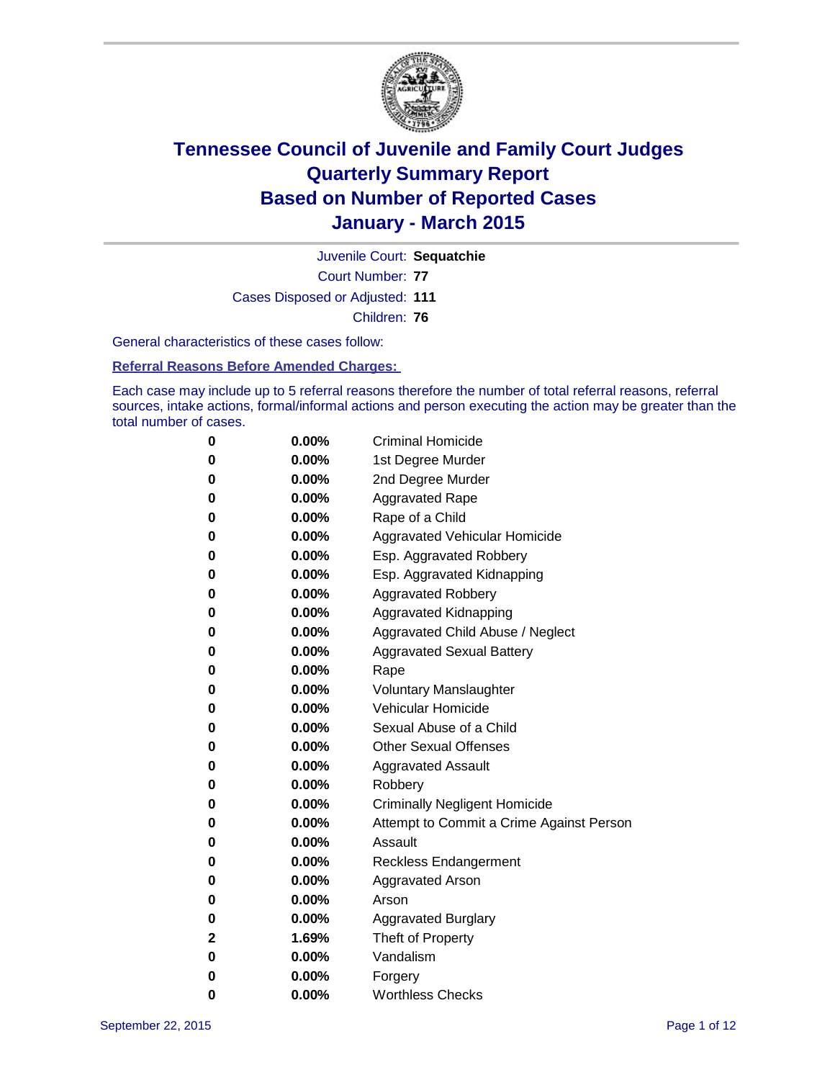

Court Number: **77** Juvenile Court: **Sequatchie** Cases Disposed or Adjusted: **111** Children: **76**

General characteristics of these cases follow:

**Referral Reasons Before Amended Charges:** 

Each case may include up to 5 referral reasons therefore the number of total referral reasons, referral sources, intake actions, formal/informal actions and person executing the action may be greater than the total number of cases.

| 0           | 0.00%    | <b>Criminal Homicide</b>                 |
|-------------|----------|------------------------------------------|
| 0           | $0.00\%$ | 1st Degree Murder                        |
| 0           | 0.00%    | 2nd Degree Murder                        |
| 0           | $0.00\%$ | <b>Aggravated Rape</b>                   |
| 0           | $0.00\%$ | Rape of a Child                          |
| 0           | $0.00\%$ | Aggravated Vehicular Homicide            |
| 0           | 0.00%    | Esp. Aggravated Robbery                  |
| 0           | $0.00\%$ | Esp. Aggravated Kidnapping               |
| 0           | $0.00\%$ | <b>Aggravated Robbery</b>                |
| $\bf{0}$    | $0.00\%$ | Aggravated Kidnapping                    |
| 0           | 0.00%    | Aggravated Child Abuse / Neglect         |
| 0           | $0.00\%$ | <b>Aggravated Sexual Battery</b>         |
| 0           | $0.00\%$ | Rape                                     |
| 0           | $0.00\%$ | <b>Voluntary Manslaughter</b>            |
| 0           | $0.00\%$ | <b>Vehicular Homicide</b>                |
| 0           | $0.00\%$ | Sexual Abuse of a Child                  |
| 0           | $0.00\%$ | <b>Other Sexual Offenses</b>             |
| 0           | $0.00\%$ | <b>Aggravated Assault</b>                |
| 0           | $0.00\%$ | Robbery                                  |
| 0           | $0.00\%$ | <b>Criminally Negligent Homicide</b>     |
| 0           | $0.00\%$ | Attempt to Commit a Crime Against Person |
| 0           | $0.00\%$ | Assault                                  |
| 0           | $0.00\%$ | <b>Reckless Endangerment</b>             |
| 0           | $0.00\%$ | Aggravated Arson                         |
| 0           | $0.00\%$ | Arson                                    |
| 0           | $0.00\%$ | <b>Aggravated Burglary</b>               |
| $\mathbf 2$ | 1.69%    | Theft of Property                        |
| 0           | $0.00\%$ | Vandalism                                |
| 0           | $0.00\%$ | Forgery                                  |
| 0           | 0.00%    | <b>Worthless Checks</b>                  |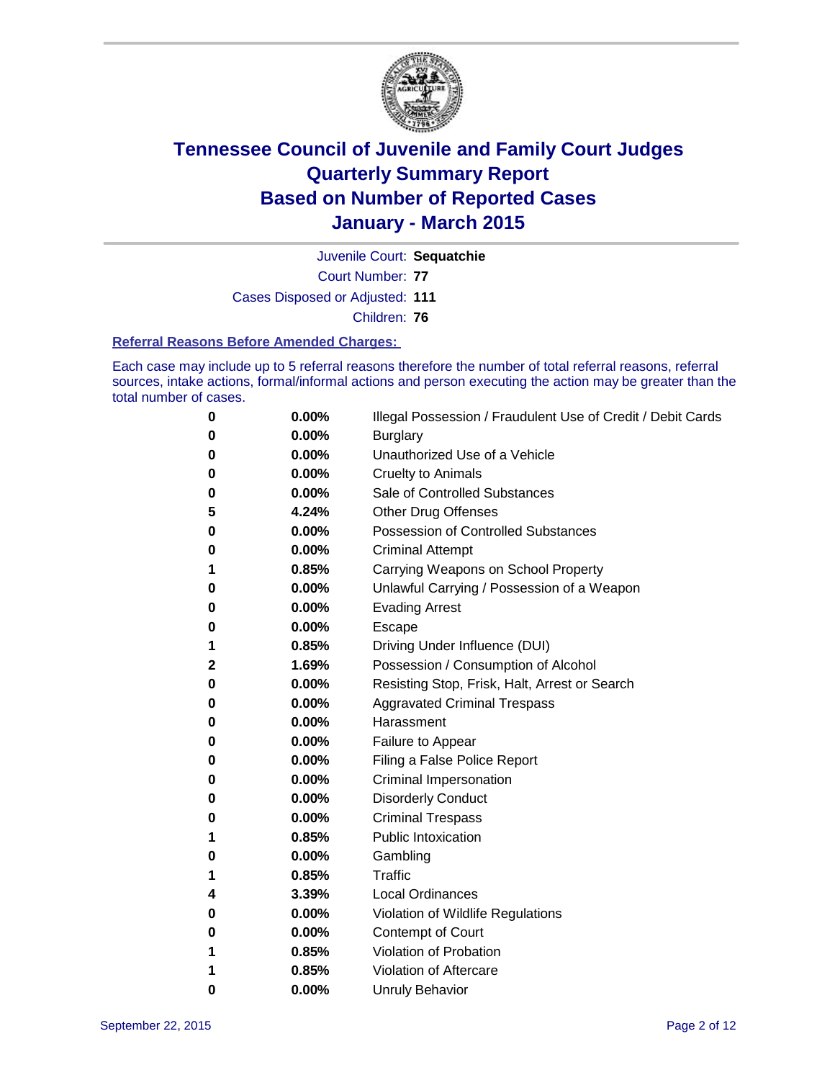

Court Number: **77** Juvenile Court: **Sequatchie** Cases Disposed or Adjusted: **111**

Children: **76**

### **Referral Reasons Before Amended Charges:**

Each case may include up to 5 referral reasons therefore the number of total referral reasons, referral sources, intake actions, formal/informal actions and person executing the action may be greater than the total number of cases.

| 0            | 0.00% | Illegal Possession / Fraudulent Use of Credit / Debit Cards |
|--------------|-------|-------------------------------------------------------------|
| 0            | 0.00% | <b>Burglary</b>                                             |
| 0            | 0.00% | Unauthorized Use of a Vehicle                               |
| 0            | 0.00% | <b>Cruelty to Animals</b>                                   |
| 0            | 0.00% | Sale of Controlled Substances                               |
| 5            | 4.24% | <b>Other Drug Offenses</b>                                  |
| 0            | 0.00% | <b>Possession of Controlled Substances</b>                  |
| 0            | 0.00% | <b>Criminal Attempt</b>                                     |
| 1            | 0.85% | Carrying Weapons on School Property                         |
| 0            | 0.00% | Unlawful Carrying / Possession of a Weapon                  |
| 0            | 0.00% | <b>Evading Arrest</b>                                       |
| 0            | 0.00% | Escape                                                      |
| 1            | 0.85% | Driving Under Influence (DUI)                               |
| $\mathbf{2}$ | 1.69% | Possession / Consumption of Alcohol                         |
| 0            | 0.00% | Resisting Stop, Frisk, Halt, Arrest or Search               |
| 0            | 0.00% | <b>Aggravated Criminal Trespass</b>                         |
| 0            | 0.00% | Harassment                                                  |
| 0            | 0.00% | Failure to Appear                                           |
| 0            | 0.00% | Filing a False Police Report                                |
| 0            | 0.00% | Criminal Impersonation                                      |
| 0            | 0.00% | <b>Disorderly Conduct</b>                                   |
| 0            | 0.00% | <b>Criminal Trespass</b>                                    |
| 1            | 0.85% | <b>Public Intoxication</b>                                  |
| 0            | 0.00% | Gambling                                                    |
| 1            | 0.85% | Traffic                                                     |
| 4            | 3.39% | <b>Local Ordinances</b>                                     |
| 0            | 0.00% | Violation of Wildlife Regulations                           |
| 0            | 0.00% | Contempt of Court                                           |
| 1            | 0.85% | Violation of Probation                                      |
| 1            | 0.85% | Violation of Aftercare                                      |
| 0            | 0.00% | <b>Unruly Behavior</b>                                      |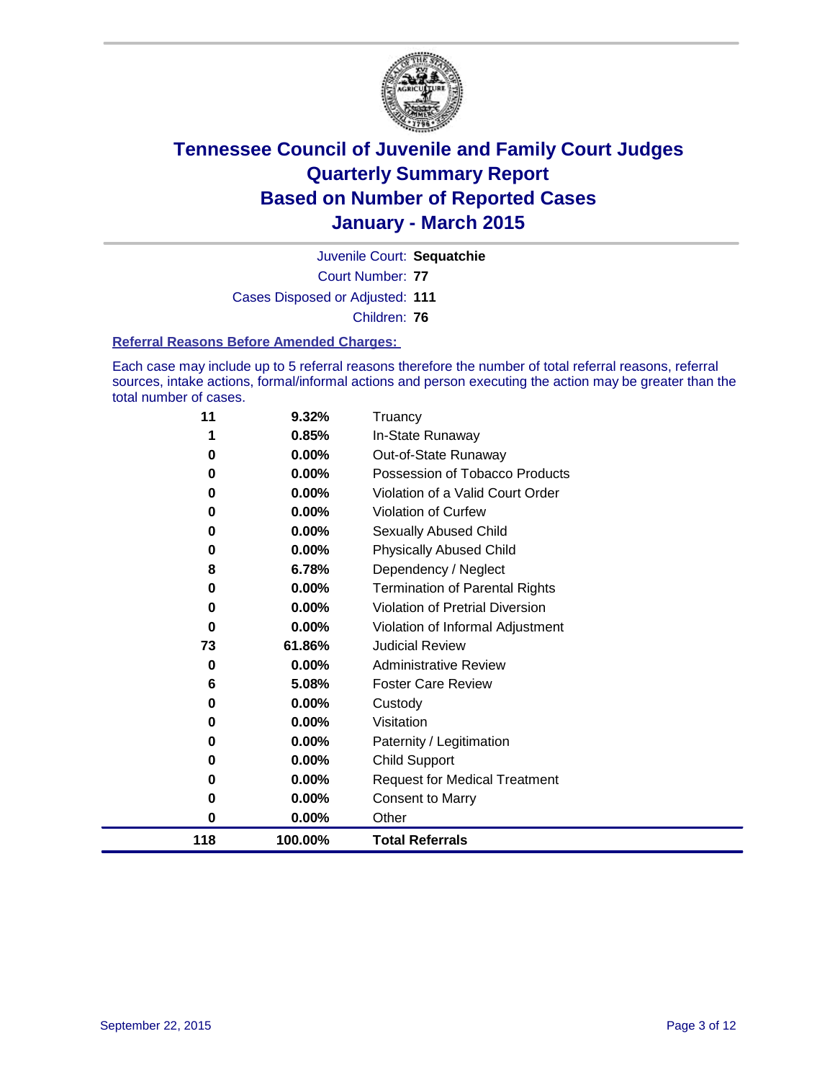

Court Number: **77** Juvenile Court: **Sequatchie** Cases Disposed or Adjusted: **111** Children: **76**

### **Referral Reasons Before Amended Charges:**

Each case may include up to 5 referral reasons therefore the number of total referral reasons, referral sources, intake actions, formal/informal actions and person executing the action may be greater than the total number of cases.

| 11  | 9.32%    | Truancy                                |
|-----|----------|----------------------------------------|
| 1   | 0.85%    | In-State Runaway                       |
| 0   | 0.00%    | Out-of-State Runaway                   |
| 0   | 0.00%    | Possession of Tobacco Products         |
| 0   | 0.00%    | Violation of a Valid Court Order       |
| 0   | 0.00%    | <b>Violation of Curfew</b>             |
| 0   | 0.00%    | <b>Sexually Abused Child</b>           |
| 0   | 0.00%    | <b>Physically Abused Child</b>         |
| 8   | 6.78%    | Dependency / Neglect                   |
| 0   | 0.00%    | <b>Termination of Parental Rights</b>  |
| 0   | 0.00%    | <b>Violation of Pretrial Diversion</b> |
| 0   | 0.00%    | Violation of Informal Adjustment       |
| 73  | 61.86%   | <b>Judicial Review</b>                 |
| 0   | 0.00%    | <b>Administrative Review</b>           |
| 6   | 5.08%    | <b>Foster Care Review</b>              |
| 0   | $0.00\%$ | Custody                                |
| 0   | 0.00%    | Visitation                             |
| 0   | 0.00%    | Paternity / Legitimation               |
| 0   | 0.00%    | <b>Child Support</b>                   |
| 0   | 0.00%    | <b>Request for Medical Treatment</b>   |
| 0   | 0.00%    | <b>Consent to Marry</b>                |
| 0   | 0.00%    | Other                                  |
| 118 | 100.00%  | <b>Total Referrals</b>                 |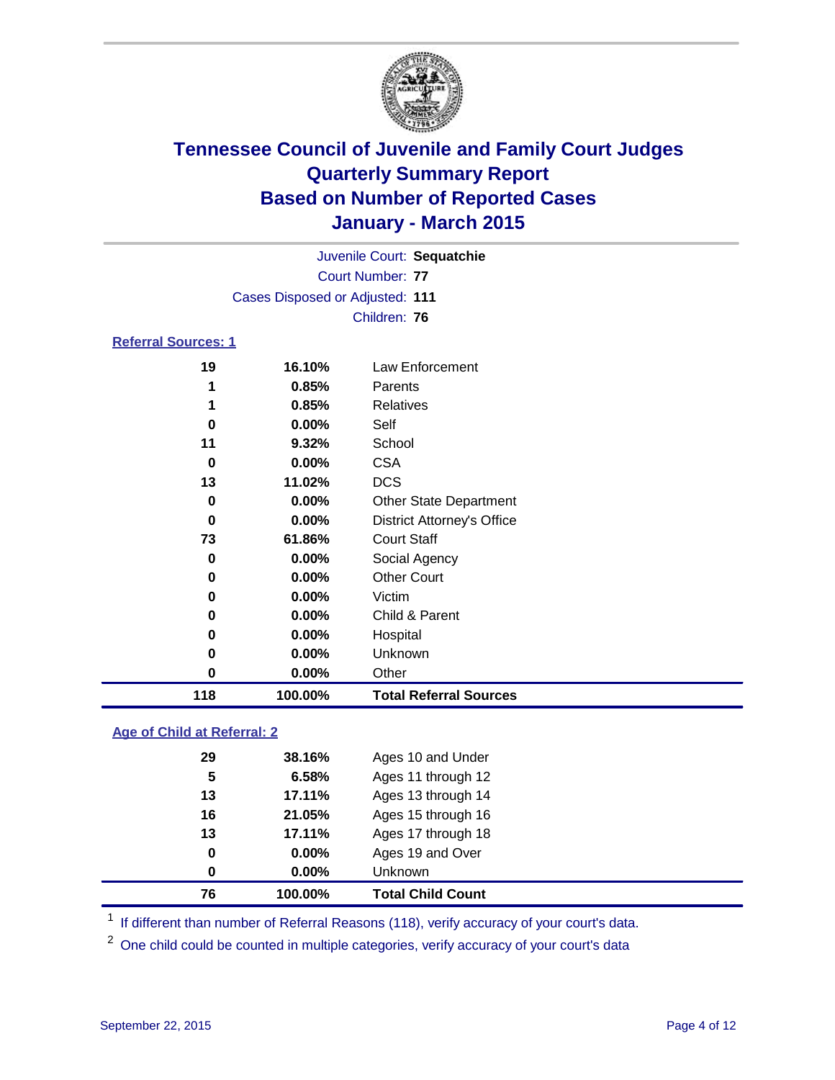

| Juvenile Court: Sequatchie      |  |
|---------------------------------|--|
| Court Number: 77                |  |
| Cases Disposed or Adjusted: 111 |  |
| Children: 76                    |  |

### **Referral Sources: 1**

| 118      | 100.00%  | <b>Total Referral Sources</b>     |
|----------|----------|-----------------------------------|
| 0        | $0.00\%$ | Other                             |
| 0        | $0.00\%$ | Unknown                           |
| 0        | 0.00%    | Hospital                          |
| 0        | $0.00\%$ | Child & Parent                    |
| 0        | $0.00\%$ | Victim                            |
| 0        | $0.00\%$ | <b>Other Court</b>                |
| 0        | $0.00\%$ | Social Agency                     |
| 73       | 61.86%   | <b>Court Staff</b>                |
| $\bf{0}$ | $0.00\%$ | <b>District Attorney's Office</b> |
| 0        | $0.00\%$ | <b>Other State Department</b>     |
| 13       | 11.02%   | <b>DCS</b>                        |
| 0        | $0.00\%$ | <b>CSA</b>                        |
| 11       | 9.32%    | School                            |
| $\bf{0}$ | $0.00\%$ | Self                              |
|          | 0.85%    | Relatives                         |
| 1        | 0.85%    | Parents                           |
| 19       | 16.10%   | Law Enforcement                   |

### **Age of Child at Referral: 2**

| 76 | 100.00%  | <b>Total Child Count</b> |
|----|----------|--------------------------|
| 0  | $0.00\%$ | <b>Unknown</b>           |
| 0  | $0.00\%$ | Ages 19 and Over         |
| 13 | 17.11%   | Ages 17 through 18       |
| 16 | 21.05%   | Ages 15 through 16       |
| 13 | 17.11%   | Ages 13 through 14       |
| 5  | 6.58%    | Ages 11 through 12       |
| 29 | 38.16%   | Ages 10 and Under        |
|    |          |                          |

<sup>1</sup> If different than number of Referral Reasons (118), verify accuracy of your court's data.

One child could be counted in multiple categories, verify accuracy of your court's data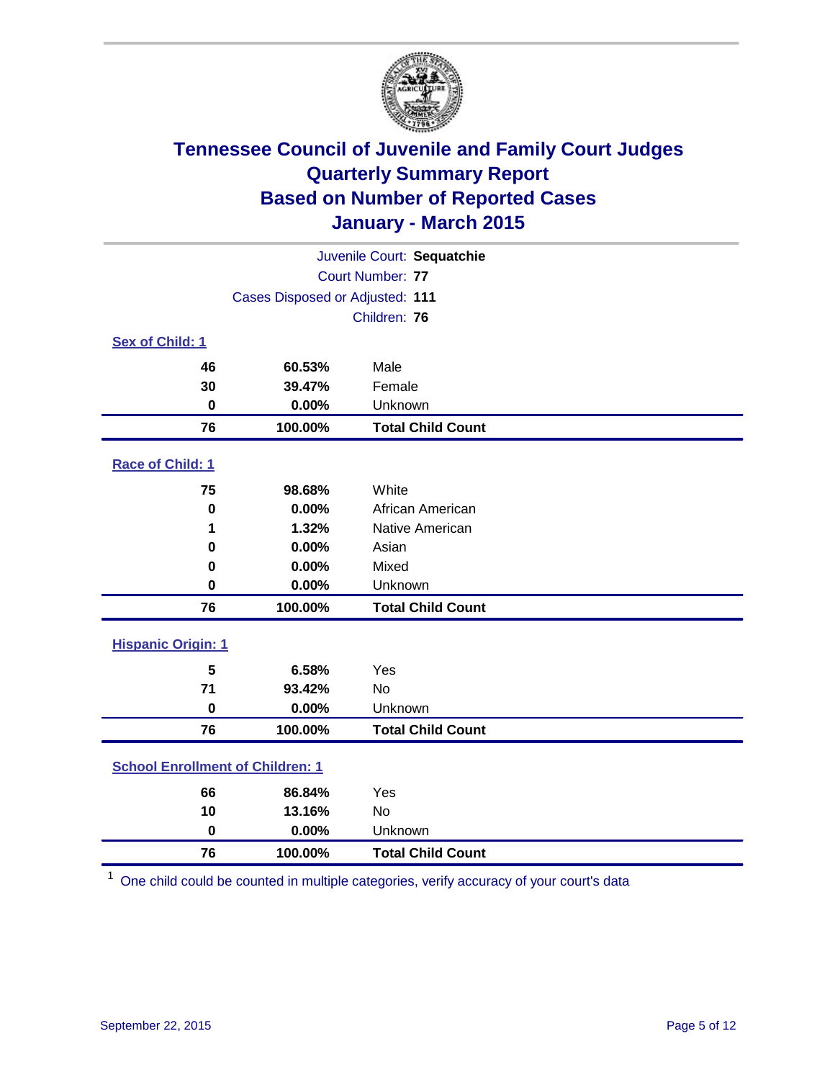

| Juvenile Court: Sequatchie              |                                 |                          |  |  |
|-----------------------------------------|---------------------------------|--------------------------|--|--|
| Court Number: 77                        |                                 |                          |  |  |
|                                         | Cases Disposed or Adjusted: 111 |                          |  |  |
|                                         |                                 | Children: 76             |  |  |
| <b>Sex of Child: 1</b>                  |                                 |                          |  |  |
| 46                                      | 60.53%                          | Male                     |  |  |
| 30                                      | 39.47%                          | Female                   |  |  |
| $\bf{0}$                                | 0.00%                           | Unknown                  |  |  |
| 76                                      | 100.00%                         | <b>Total Child Count</b> |  |  |
| Race of Child: 1                        |                                 |                          |  |  |
| 75                                      | 98.68%                          | White                    |  |  |
| $\bf{0}$                                | 0.00%                           | African American         |  |  |
| 1                                       | 1.32%                           | Native American          |  |  |
| 0                                       | 0.00%                           | Asian                    |  |  |
| 0                                       | 0.00%                           | Mixed                    |  |  |
| 0                                       | 0.00%                           | Unknown                  |  |  |
| 76                                      | 100.00%                         | <b>Total Child Count</b> |  |  |
| <b>Hispanic Origin: 1</b>               |                                 |                          |  |  |
| 5                                       | 6.58%                           | Yes                      |  |  |
| 71                                      | 93.42%                          | No                       |  |  |
| $\bf{0}$                                | 0.00%                           | Unknown                  |  |  |
| 76                                      | 100.00%                         | <b>Total Child Count</b> |  |  |
| <b>School Enrollment of Children: 1</b> |                                 |                          |  |  |
| 66                                      | 86.84%                          | Yes                      |  |  |
| 10                                      | 13.16%                          | <b>No</b>                |  |  |
| $\bf{0}$                                | 0.00%                           | Unknown                  |  |  |
| 76                                      | 100.00%                         | <b>Total Child Count</b> |  |  |

One child could be counted in multiple categories, verify accuracy of your court's data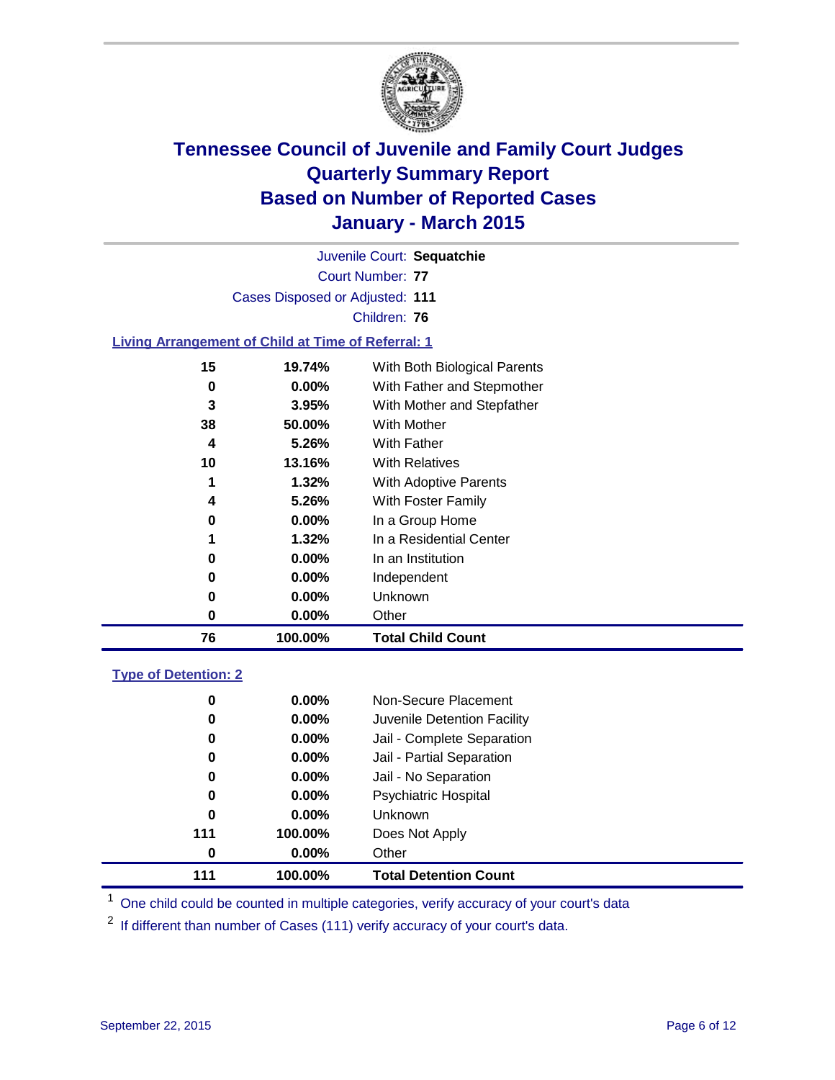

Court Number: **77** Juvenile Court: **Sequatchie** Cases Disposed or Adjusted: **111** Children: **76**

### **Living Arrangement of Child at Time of Referral: 1**

| 76<br>100.00% | <b>Total Child Count</b>     |
|---------------|------------------------------|
| $0.00\%$<br>0 | Other                        |
| 0<br>$0.00\%$ | Unknown                      |
| 0<br>$0.00\%$ | Independent                  |
| 0<br>$0.00\%$ | In an Institution            |
| 1<br>1.32%    | In a Residential Center      |
| 0<br>$0.00\%$ | In a Group Home              |
| 4<br>5.26%    | With Foster Family           |
| 1.32%<br>1    | With Adoptive Parents        |
| 13.16%<br>10  | <b>With Relatives</b>        |
| 5.26%<br>4    | With Father                  |
| 50.00%<br>38  | With Mother                  |
| 3<br>3.95%    | With Mother and Stepfather   |
| 0.00%<br>0    | With Father and Stepmother   |
| 15<br>19.74%  | With Both Biological Parents |
|               |                              |

### **Type of Detention: 2**

| 0<br>0<br>0<br>0<br>0<br>0 | $0.00\%$<br>$0.00\%$<br>$0.00\%$<br>0.00%<br>$0.00\%$<br>$0.00\%$ | Non-Secure Placement<br>Juvenile Detention Facility<br>Jail - Complete Separation<br>Jail - Partial Separation<br>Jail - No Separation<br><b>Psychiatric Hospital</b> |  |
|----------------------------|-------------------------------------------------------------------|-----------------------------------------------------------------------------------------------------------------------------------------------------------------------|--|
| 0                          | $0.00\%$                                                          | Unknown                                                                                                                                                               |  |
| 111                        | 100.00%                                                           | Does Not Apply                                                                                                                                                        |  |
| 0                          | $0.00\%$                                                          | Other                                                                                                                                                                 |  |
| 111                        | 100.00%                                                           | <b>Total Detention Count</b>                                                                                                                                          |  |

<sup>1</sup> One child could be counted in multiple categories, verify accuracy of your court's data

If different than number of Cases (111) verify accuracy of your court's data.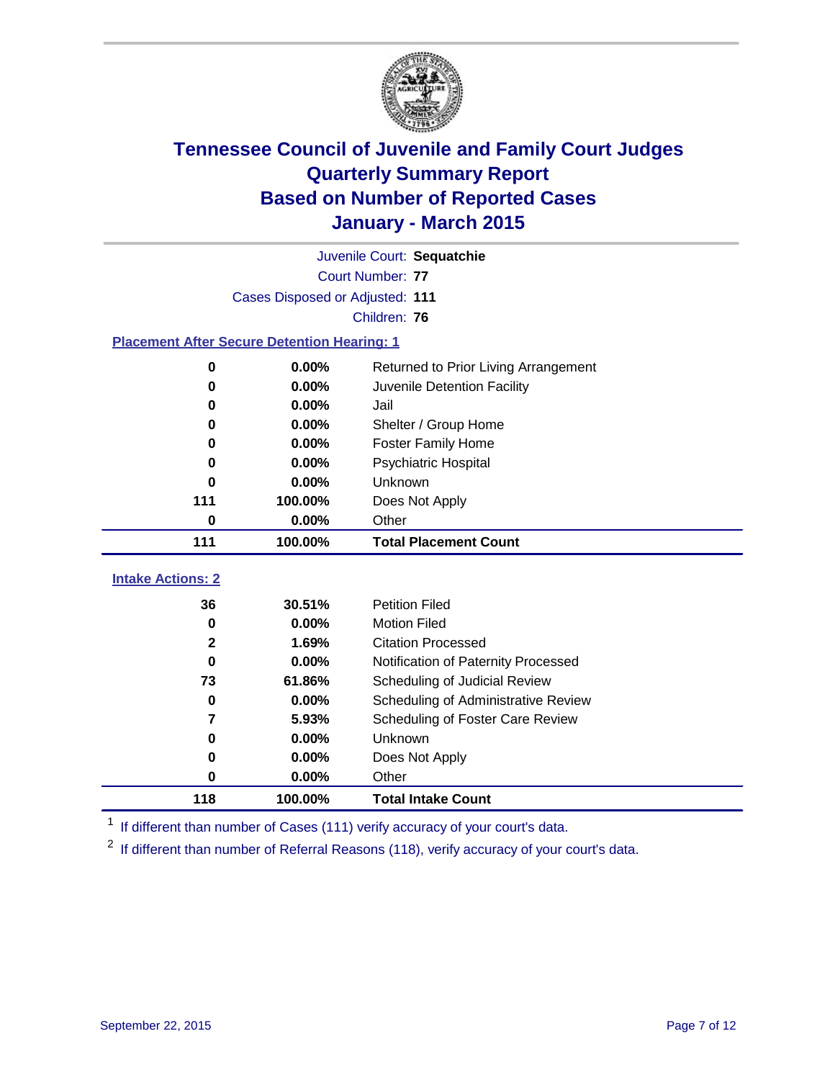

| Juvenile Court: Sequatchie                         |                                 |                                      |  |  |  |
|----------------------------------------------------|---------------------------------|--------------------------------------|--|--|--|
| Court Number: 77                                   |                                 |                                      |  |  |  |
|                                                    | Cases Disposed or Adjusted: 111 |                                      |  |  |  |
|                                                    |                                 | Children: 76                         |  |  |  |
| <b>Placement After Secure Detention Hearing: 1</b> |                                 |                                      |  |  |  |
| 0                                                  | 0.00%                           | Returned to Prior Living Arrangement |  |  |  |
| 0                                                  | 0.00%                           | Juvenile Detention Facility          |  |  |  |
| 0                                                  | 0.00%                           | Jail                                 |  |  |  |
| 0                                                  | 0.00%                           | Shelter / Group Home                 |  |  |  |
| 0                                                  | 0.00%                           | <b>Foster Family Home</b>            |  |  |  |
| 0                                                  | 0.00%                           | <b>Psychiatric Hospital</b>          |  |  |  |
| 0                                                  | 0.00%                           | Unknown                              |  |  |  |
| 111                                                | 100.00%                         | Does Not Apply                       |  |  |  |
| 0                                                  | 0.00%                           | Other                                |  |  |  |
| 111                                                | 100.00%                         | <b>Total Placement Count</b>         |  |  |  |
|                                                    |                                 |                                      |  |  |  |
| <b>Intake Actions: 2</b>                           |                                 |                                      |  |  |  |
| 36                                                 | 30.51%                          | <b>Petition Filed</b>                |  |  |  |
| 0                                                  | 0.00%                           | <b>Motion Filed</b>                  |  |  |  |
| $\mathbf{2}$                                       | 1.69%                           | <b>Citation Processed</b>            |  |  |  |
| $\bf{0}$                                           | 0.00%                           | Notification of Paternity Processed  |  |  |  |
| 73                                                 | 61.86%                          | Scheduling of Judicial Review        |  |  |  |
| $\bf{0}$                                           | 0.00%                           | Scheduling of Administrative Review  |  |  |  |
| 7                                                  | 5.93%                           | Scheduling of Foster Care Review     |  |  |  |
| 0                                                  | 0.00%                           | <b>Unknown</b>                       |  |  |  |
| 0                                                  | 0.00%                           | Does Not Apply                       |  |  |  |
| 0                                                  | 0.00%                           | Other                                |  |  |  |
| 118                                                | 100.00%                         | <b>Total Intake Count</b>            |  |  |  |

<sup>1</sup> If different than number of Cases (111) verify accuracy of your court's data.

<sup>2</sup> If different than number of Referral Reasons (118), verify accuracy of your court's data.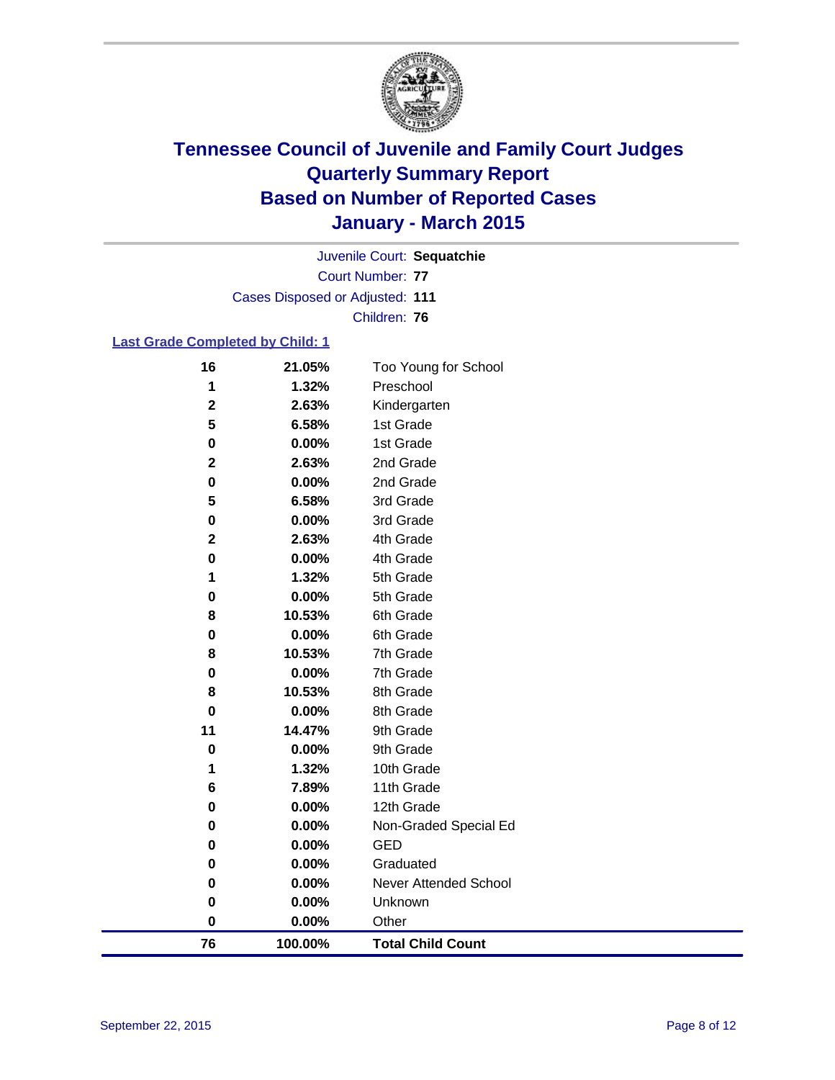

Court Number: **77** Juvenile Court: **Sequatchie** Cases Disposed or Adjusted: **111** Children: **76**

### **Last Grade Completed by Child: 1**

| 16          | 21.05%  | Too Young for School         |
|-------------|---------|------------------------------|
| 1           | 1.32%   | Preschool                    |
| $\mathbf 2$ | 2.63%   | Kindergarten                 |
| 5           | 6.58%   | 1st Grade                    |
| 0           | 0.00%   | 1st Grade                    |
| 2           | 2.63%   | 2nd Grade                    |
| 0           | 0.00%   | 2nd Grade                    |
| 5           | 6.58%   | 3rd Grade                    |
| 0           | 0.00%   | 3rd Grade                    |
| $\mathbf 2$ | 2.63%   | 4th Grade                    |
| 0           | 0.00%   | 4th Grade                    |
| 1           | 1.32%   | 5th Grade                    |
| 0           | 0.00%   | 5th Grade                    |
| 8           | 10.53%  | 6th Grade                    |
| 0           | 0.00%   | 6th Grade                    |
| 8           | 10.53%  | 7th Grade                    |
| 0           | 0.00%   | 7th Grade                    |
| 8           | 10.53%  | 8th Grade                    |
| 0           | 0.00%   | 8th Grade                    |
| 11          | 14.47%  | 9th Grade                    |
| $\bf{0}$    | 0.00%   | 9th Grade                    |
| 1           | 1.32%   | 10th Grade                   |
| 6           | 7.89%   | 11th Grade                   |
| 0           | 0.00%   | 12th Grade                   |
| 0           | 0.00%   | Non-Graded Special Ed        |
| 0           | 0.00%   | <b>GED</b>                   |
| 0           | 0.00%   | Graduated                    |
| 0           | 0.00%   | <b>Never Attended School</b> |
| 0           | 0.00%   | Unknown                      |
| $\pmb{0}$   | 0.00%   | Other                        |
| 76          | 100.00% | <b>Total Child Count</b>     |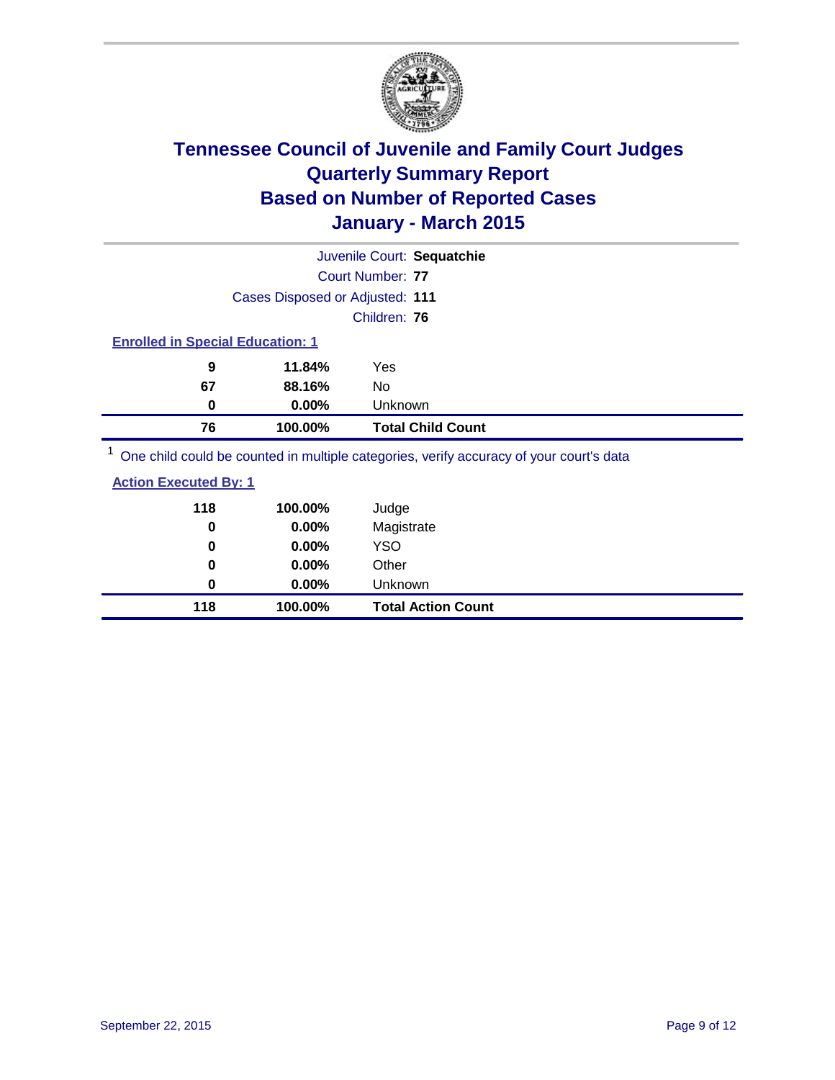

|                                                                                         | Juvenile Court: Sequatchie |  |  |
|-----------------------------------------------------------------------------------------|----------------------------|--|--|
| Court Number: 77                                                                        |                            |  |  |
| Cases Disposed or Adjusted: 111                                                         |                            |  |  |
| Children: 76                                                                            |                            |  |  |
| <b>Enrolled in Special Education: 1</b>                                                 |                            |  |  |
| 9<br>11.84%<br>Yes                                                                      |                            |  |  |
| 67<br>88.16%<br>No                                                                      |                            |  |  |
| $0.00\%$<br>0                                                                           | Unknown                    |  |  |
| 76<br>100.00%                                                                           | <b>Total Child Count</b>   |  |  |
| One child could be counted in multiple categories, verify accuracy of your court's data |                            |  |  |

| 118 | 100.00%  | Judge                     |
|-----|----------|---------------------------|
| 0   | 0.00%    | Magistrate                |
| 0   | 0.00%    | <b>YSO</b>                |
| 0   | $0.00\%$ | Other                     |
| 0   | $0.00\%$ | Unknown                   |
| 118 | 100.00%  | <b>Total Action Count</b> |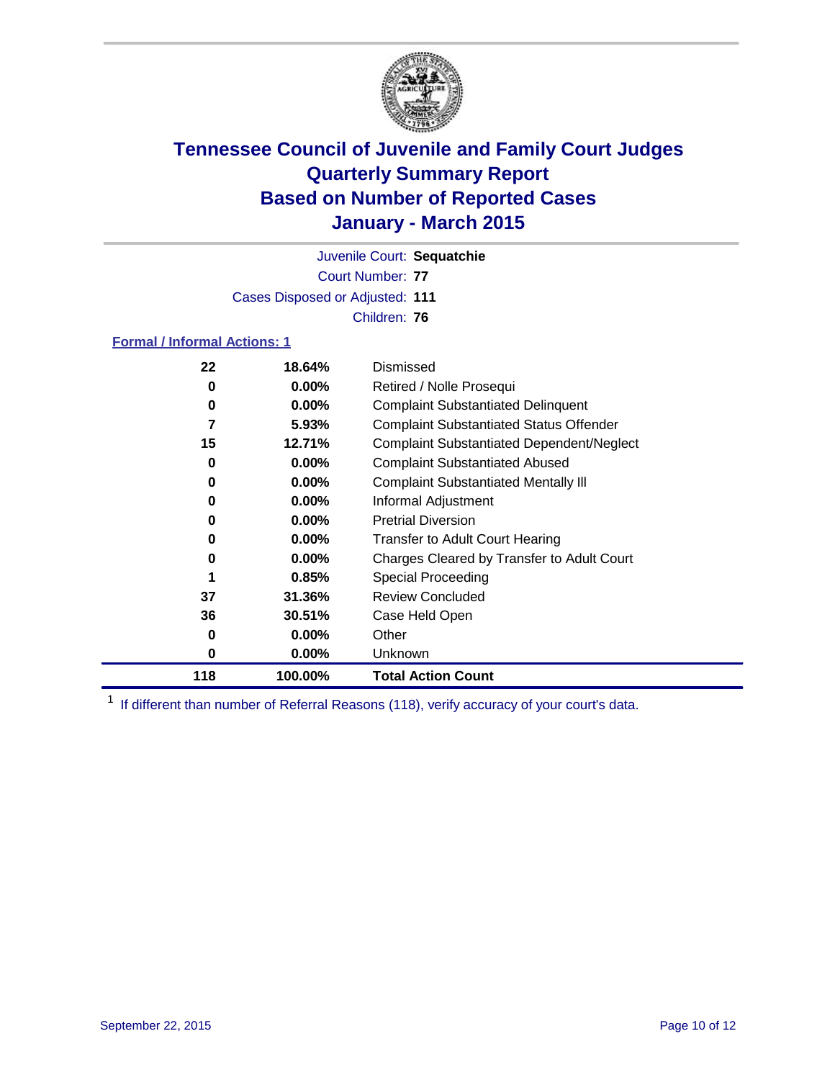

Court Number: **77** Juvenile Court: **Sequatchie** Cases Disposed or Adjusted: **111** Children: **76**

### **Formal / Informal Actions: 1**

| 22  | 18.64%   | Dismissed                                        |
|-----|----------|--------------------------------------------------|
| 0   | $0.00\%$ | Retired / Nolle Prosequi                         |
| 0   | $0.00\%$ | <b>Complaint Substantiated Delinquent</b>        |
| 7   | $5.93\%$ | <b>Complaint Substantiated Status Offender</b>   |
| 15  | 12.71%   | <b>Complaint Substantiated Dependent/Neglect</b> |
| 0   | $0.00\%$ | <b>Complaint Substantiated Abused</b>            |
| 0   | $0.00\%$ | <b>Complaint Substantiated Mentally III</b>      |
| 0   | $0.00\%$ | Informal Adjustment                              |
| 0   | $0.00\%$ | <b>Pretrial Diversion</b>                        |
| 0   | $0.00\%$ | <b>Transfer to Adult Court Hearing</b>           |
| 0   | $0.00\%$ | Charges Cleared by Transfer to Adult Court       |
|     | 0.85%    | Special Proceeding                               |
| 37  | 31.36%   | <b>Review Concluded</b>                          |
| 36  | 30.51%   | Case Held Open                                   |
| 0   | $0.00\%$ | Other                                            |
| 0   | $0.00\%$ | <b>Unknown</b>                                   |
| 118 | 100.00%  | <b>Total Action Count</b>                        |

<sup>1</sup> If different than number of Referral Reasons (118), verify accuracy of your court's data.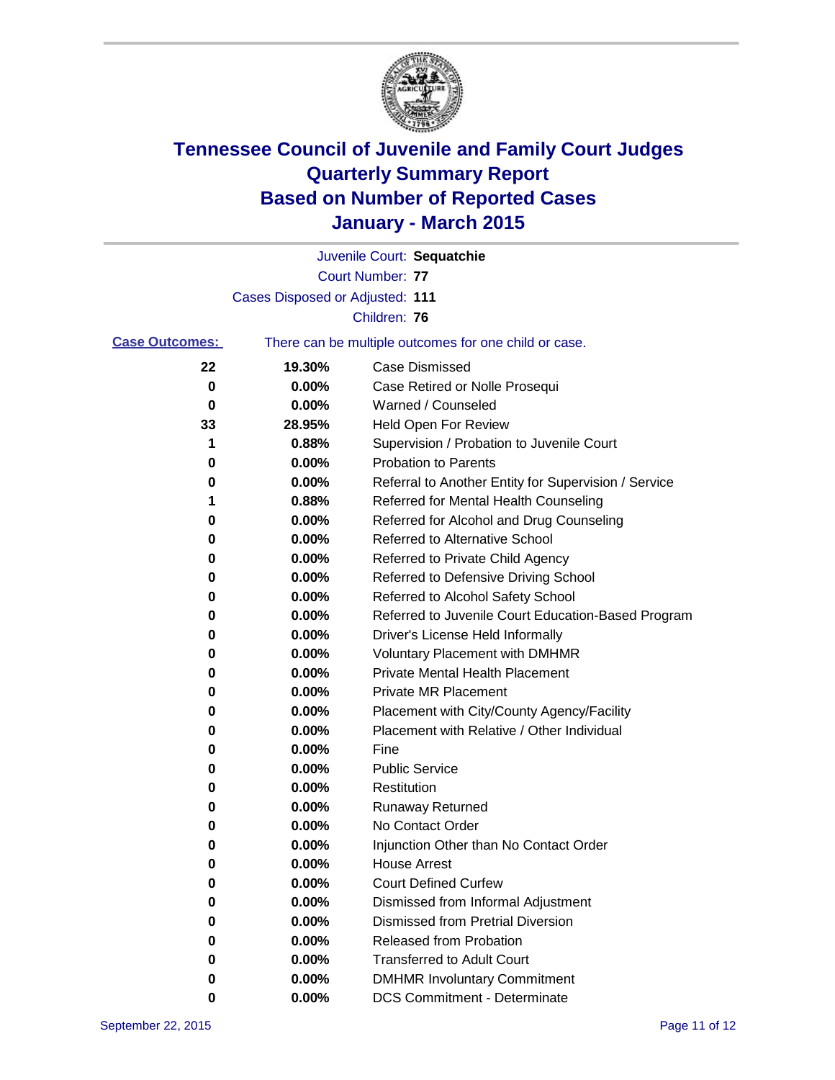

|                       |                                 | Juvenile Court: Sequatchie                            |
|-----------------------|---------------------------------|-------------------------------------------------------|
|                       |                                 | <b>Court Number: 77</b>                               |
|                       | Cases Disposed or Adjusted: 111 |                                                       |
|                       |                                 | Children: 76                                          |
| <b>Case Outcomes:</b> |                                 | There can be multiple outcomes for one child or case. |
| 22                    | 19.30%                          | <b>Case Dismissed</b>                                 |
| 0                     | 0.00%                           | Case Retired or Nolle Prosequi                        |
| 0                     | 0.00%                           | Warned / Counseled                                    |
| 33                    | 28.95%                          | Held Open For Review                                  |
| 1                     | 0.88%                           | Supervision / Probation to Juvenile Court             |
| 0                     | 0.00%                           | <b>Probation to Parents</b>                           |
| 0                     | 0.00%                           | Referral to Another Entity for Supervision / Service  |
| 1                     | 0.88%                           | Referred for Mental Health Counseling                 |
| 0                     | 0.00%                           | Referred for Alcohol and Drug Counseling              |
| 0                     | 0.00%                           | <b>Referred to Alternative School</b>                 |
| 0                     | 0.00%                           | Referred to Private Child Agency                      |
| 0                     | 0.00%                           | Referred to Defensive Driving School                  |
| 0                     | 0.00%                           | Referred to Alcohol Safety School                     |
| 0                     | 0.00%                           | Referred to Juvenile Court Education-Based Program    |
| 0                     | 0.00%                           | Driver's License Held Informally                      |
| 0                     | 0.00%                           | <b>Voluntary Placement with DMHMR</b>                 |
| 0                     | 0.00%                           | <b>Private Mental Health Placement</b>                |
| 0                     | 0.00%                           | Private MR Placement                                  |
| 0                     | 0.00%                           | Placement with City/County Agency/Facility            |
| 0                     | 0.00%                           | Placement with Relative / Other Individual            |
| 0                     | 0.00%                           | Fine                                                  |
| 0                     | 0.00%                           | <b>Public Service</b>                                 |
| 0                     | 0.00%                           | Restitution                                           |
| 0                     | 0.00%                           | <b>Runaway Returned</b>                               |
| 0                     | 0.00%                           | No Contact Order                                      |
| 0                     | 0.00%                           | Injunction Other than No Contact Order                |
| 0                     | 0.00%                           | <b>House Arrest</b>                                   |
| 0                     | 0.00%                           | <b>Court Defined Curfew</b>                           |
| 0                     | 0.00%                           | Dismissed from Informal Adjustment                    |
| 0                     | 0.00%                           | <b>Dismissed from Pretrial Diversion</b>              |
| 0                     | 0.00%                           | Released from Probation                               |
| 0                     | 0.00%                           | <b>Transferred to Adult Court</b>                     |
| 0                     | 0.00%                           | <b>DMHMR Involuntary Commitment</b>                   |
| 0                     | $0.00\%$                        | <b>DCS Commitment - Determinate</b>                   |